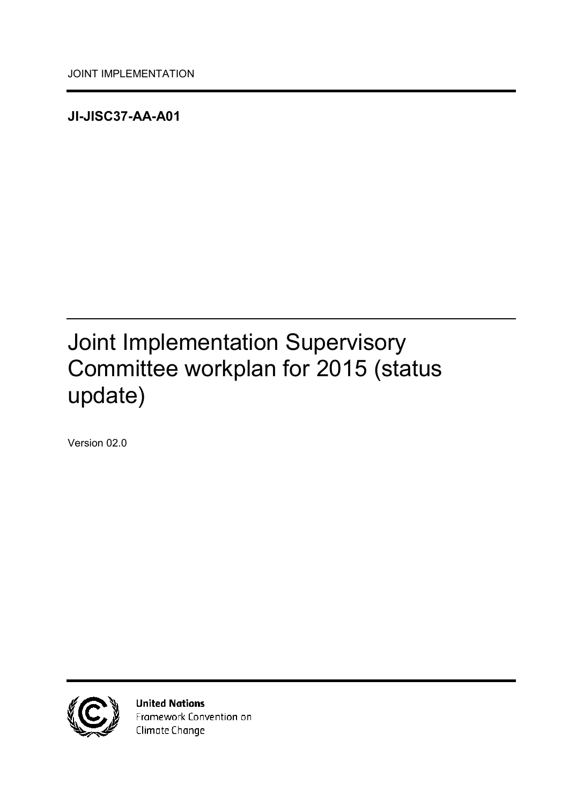<span id="page-0-0"></span>**JI-JISC37-AA-A01**

# <span id="page-0-1"></span>Joint Implementation Supervisory Committee workplan for 2015 (status update)

<span id="page-0-2"></span>Version 02.0



**United Nations** Framework Convention on Climate Change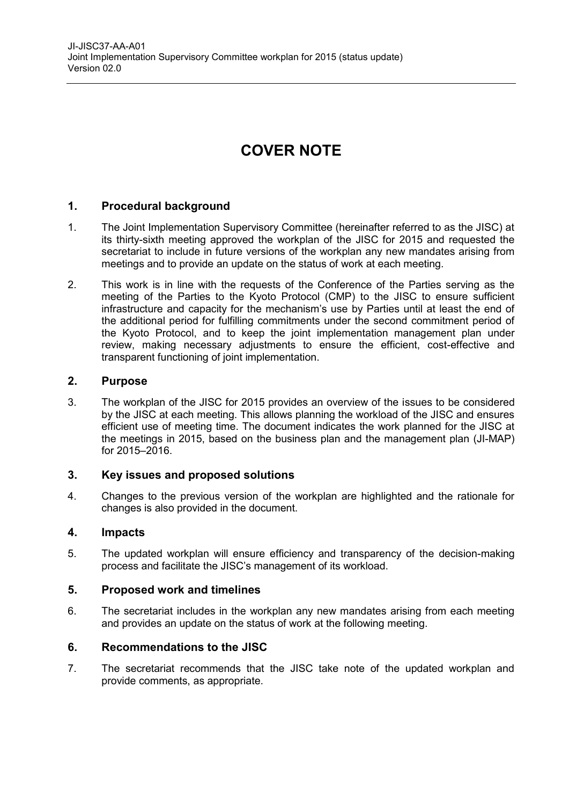## **COVER NOTE**

#### **1. Procedural background**

- 1. The Joint Implementation Supervisory Committee (hereinafter referred to as the JISC) at its thirty-sixth meeting approved the workplan of the JISC for 2015 and requested the secretariat to include in future versions of the workplan any new mandates arising from meetings and to provide an update on the status of work at each meeting.
- 2. This work is in line with the requests of the Conference of the Parties serving as the meeting of the Parties to the Kyoto Protocol (CMP) to the JISC to ensure sufficient infrastructure and capacity for the mechanism's use by Parties until at least the end of the additional period for fulfilling commitments under the second commitment period of the Kyoto Protocol, and to keep the joint implementation management plan under review, making necessary adjustments to ensure the efficient, cost-effective and transparent functioning of joint implementation.

#### **2. Purpose**

3. The workplan of the JISC for 2015 provides an overview of the issues to be considered by the JISC at each meeting. This allows planning the workload of the JISC and ensures efficient use of meeting time. The document indicates the work planned for the JISC at the meetings in 2015, based on the business plan and the management plan (JI-MAP) for 2015–2016.

#### **3. Key issues and proposed solutions**

4. Changes to the previous version of the workplan are highlighted and the rationale for changes is also provided in the document.

#### **4. Impacts**

5. The updated workplan will ensure efficiency and transparency of the decision-making process and facilitate the JISC's management of its workload.

#### **5. Proposed work and timelines**

6. The secretariat includes in the workplan any new mandates arising from each meeting and provides an update on the status of work at the following meeting.

#### **6. Recommendations to the JISC**

7. The secretariat recommends that the JISC take note of the updated workplan and provide comments, as appropriate.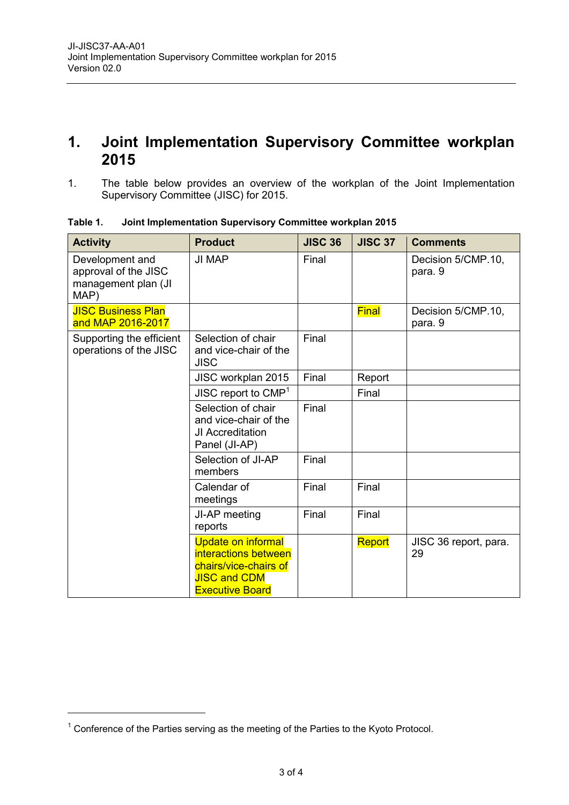### **1. Joint Implementation Supervisory Committee workplan 2015**

1. The table below provides an overview of the workplan of the Joint Implementation Supervisory Committee (JISC) for 2015.

| <b>Activity</b>                                                        | <b>Product</b>                                                                                                              | <b>JISC 36</b> | <b>JISC 37</b> | <b>Comments</b>               |
|------------------------------------------------------------------------|-----------------------------------------------------------------------------------------------------------------------------|----------------|----------------|-------------------------------|
| Development and<br>approval of the JISC<br>management plan (JI<br>MAP) | <b>JI MAP</b>                                                                                                               | Final          |                | Decision 5/CMP.10,<br>para. 9 |
| <b>JISC Business Plan</b><br>and MAP 2016-2017                         |                                                                                                                             |                | <b>Final</b>   | Decision 5/CMP.10,<br>para. 9 |
| Supporting the efficient<br>operations of the JISC                     | Selection of chair<br>and vice-chair of the<br><b>JISC</b>                                                                  | Final          |                |                               |
|                                                                        | JISC workplan 2015                                                                                                          | Final          | Report         |                               |
|                                                                        | JISC report to $CMP1$                                                                                                       |                | Final          |                               |
|                                                                        | Selection of chair<br>and vice-chair of the<br>JI Accreditation<br>Panel (JI-AP)                                            | Final          |                |                               |
|                                                                        | Selection of JI-AP<br>members                                                                                               | Final          |                |                               |
|                                                                        | Calendar of<br>meetings                                                                                                     | Final          | Final          |                               |
|                                                                        | JI-AP meeting<br>reports                                                                                                    | Final          | Final          |                               |
|                                                                        | <b>Update on informal</b><br>interactions between<br>chairs/vice-chairs of<br><b>JISC and CDM</b><br><b>Executive Board</b> |                | Report         | JISC 36 report, para.<br>29   |

**Table 1. Joint Implementation Supervisory Committee workplan 2015**

 $1$  Conference of the Parties serving as the meeting of the Parties to the Kyoto Protocol.